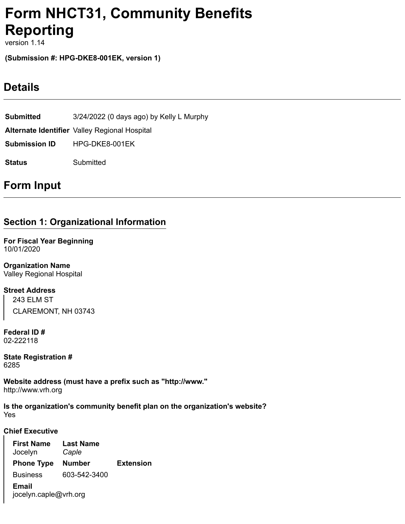# **Form NHCT31, Community Benefits Reporting**

version 1.14

**(Submission #: HPG-DKE8-001EK, version 1)**

## **Details**

**Submitted** 3/24/2022 (0 days ago) by Kelly L Murphy **Alternate Identifier** Valley Regional Hospital **Submission ID** HPG-DKE8-001EK **Status** Submitted

## **Form Input**

## **Section 1: Organizational Information**

**For Fiscal Year Beginning** 10/01/2020

**Organization Name** Valley Regional Hospital

**Street Address** 243 ELM ST CLAREMONT, NH 03743

**Federal ID #** 02-222118

**State Registration #** 6285

**Website address (must have a prefix such as "http://www."** http://www.vrh.org

Yes **Is the organization's community benefit plan on the organization's website?**

#### **Chief Executive**

**First Name** Jocelyn **Last Name** *Caple* **Phone Type Number Extension** Business 603-542-3400 **Email** jocelyn.caple@vrh.org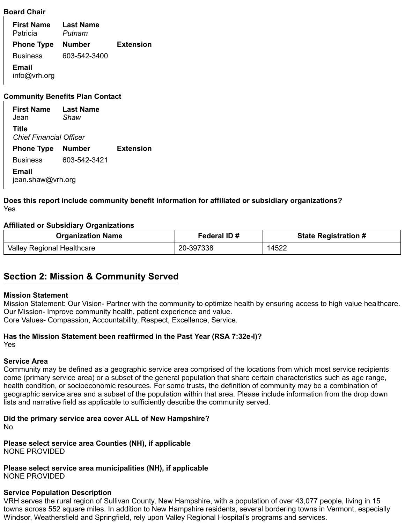#### **Board Chair**

**First Name** Patricia **Last Name** *Putnam* **Phone Type Number Extension** Business 603-542-3400 **Email** info@vrh.org

#### **Community Benefits Plan Contact**

**First Name** Jean **Last Name** *Shaw* **Title** *Chief Financial Officer* **Phone Type Number Extension** Business 603-542-3421 **Email** jean.shaw@vrh.org

Yes **Does this report include community benefit information for affiliated or subsidiary organizations?**

#### **Affiliated or Subsidiary Organizations**

| <b>Organization Name</b>   | Federal ID# | <b>State Registration #</b> |  |
|----------------------------|-------------|-----------------------------|--|
| Valley Regional Healthcare | 20-397338   | 14522                       |  |

### **Section 2: Mission & Community Served**

#### **Mission Statement**

Mission Statement: Our Vision- Partner with the community to optimize health by ensuring access to high value healthcare. Our Mission- Improve community health, patient experience and value. Core Values- Compassion, Accountability, Respect, Excellence, Service.

Yes **Has the Mission Statement been reaffirmed in the Past Year (RSA 7:32e-I)?**

#### **Service Area**

Community may be defined as a geographic service area comprised of the locations from which most service recipients come (primary service area) or a subset of the general population that share certain characteristics such as age range, health condition, or socioeconomic resources. For some trusts, the definition of community may be a combination of geographic service area and a subset of the population within that area. Please include information from the drop down lists and narrative field as applicable to sufficiently describe the community served.

No **Did the primary service area cover ALL of New Hampshire?**

NONE PROVIDED **Please select service area Counties (NH), if applicable**

NONE PROVIDED **Please select service area municipalities (NH), if applicable**

#### **Service Population Description**

VRH serves the rural region of Sullivan County, New Hampshire, with a population of over 43,077 people, living in 15 towns across 552 square miles. In addition to New Hampshire residents, several bordering towns in Vermont, especially Windsor, Weathersfield and Springfield, rely upon Valley Regional Hospital's programs and services.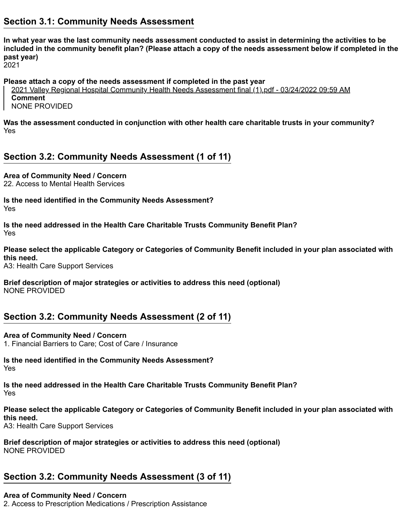### **Section 3.1: Community Needs Assessment**

**In what year was the last community needs assessment conducted to assist in determining the activities to be included in the community benefit plan? (Please attach a copy of the needs assessment below if completed in the past year)**

2021

**Please attach a copy of the needs assessment if completed in the past year**

2021 Valley Regional Hospital Community Health Needs Assessment final (1).pdf - 03/24/2022 09:59 AM **Comment** NONE PROVIDED

Yes **Was the assessment conducted in conjunction with other health care charitable trusts in your community?**

### **Section 3.2: Community Needs Assessment (1 of 11)**

**Area of Community Need / Concern**

22. Access to Mental Health Services

Yes **Is the need identified in the Community Needs Assessment?**

Yes **Is the need addressed in the Health Care Charitable Trusts Community Benefit Plan?**

**Please select the applicable Category or Categories of Community Benefit included in your plan associated with this need.**

A3: Health Care Support Services

**Brief description of major strategies or activities to address this need (optional)** NONE PROVIDED

### **Section 3.2: Community Needs Assessment (2 of 11)**

1. Financial Barriers to Care; Cost of Care / Insurance **Area of Community Need / Concern**

Yes **Is the need identified in the Community Needs Assessment?**

Yes **Is the need addressed in the Health Care Charitable Trusts Community Benefit Plan?**

**Please select the applicable Category or Categories of Community Benefit included in your plan associated with this need.**

A3: Health Care Support Services

**Brief description of major strategies or activities to address this need (optional)** NONE PROVIDED

### **Section 3.2: Community Needs Assessment (3 of 11)**

#### **Area of Community Need / Concern**

2. Access to Prescription Medications / Prescription Assistance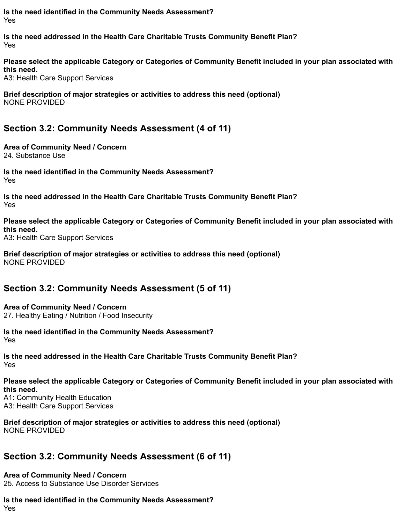Yes **Is the need identified in the Community Needs Assessment?**

Yes **Is the need addressed in the Health Care Charitable Trusts Community Benefit Plan?**

**Please select the applicable Category or Categories of Community Benefit included in your plan associated with this need.**

A3: Health Care Support Services

**Brief description of major strategies or activities to address this need (optional)** NONE PROVIDED

### **Section 3.2: Community Needs Assessment (4 of 11)**

24. Substance Use **Area of Community Need / Concern**

Yes **Is the need identified in the Community Needs Assessment?**

Yes **Is the need addressed in the Health Care Charitable Trusts Community Benefit Plan?**

A3: Health Care Support Services **Please select the applicable Category or Categories of Community Benefit included in your plan associated with this need.**

**Brief description of major strategies or activities to address this need (optional)** NONE PROVIDED

## **Section 3.2: Community Needs Assessment (5 of 11)**

27. Healthy Eating / Nutrition / Food Insecurity **Area of Community Need / Concern**

Yes **Is the need identified in the Community Needs Assessment?**

Yes **Is the need addressed in the Health Care Charitable Trusts Community Benefit Plan?**

**Please select the applicable Category or Categories of Community Benefit included in your plan associated with this need.**

A1: Community Health Education A3: Health Care Support Services

**Brief description of major strategies or activities to address this need (optional)** NONE PROVIDED

## **Section 3.2: Community Needs Assessment (6 of 11)**

#### **Area of Community Need / Concern**

25. Access to Substance Use Disorder Services

Yes **Is the need identified in the Community Needs Assessment?**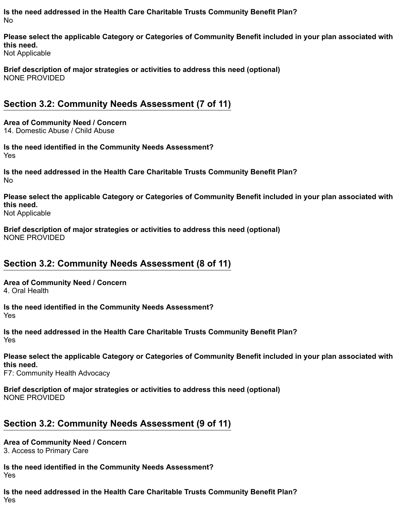No **Is the need addressed in the Health Care Charitable Trusts Community Benefit Plan?**

Not Applicable **Please select the applicable Category or Categories of Community Benefit included in your plan associated with this need.**

**Brief description of major strategies or activities to address this need (optional)** NONE PROVIDED

### **Section 3.2: Community Needs Assessment (7 of 11)**

14. Domestic Abuse / Child Abuse **Area of Community Need / Concern**

Yes **Is the need identified in the Community Needs Assessment?**

No **Is the need addressed in the Health Care Charitable Trusts Community Benefit Plan?**

**Please select the applicable Category or Categories of Community Benefit included in your plan associated with this need.**

Not Applicable

**Brief description of major strategies or activities to address this need (optional)** NONE PROVIDED

### **Section 3.2: Community Needs Assessment (8 of 11)**

**Area of Community Need / Concern**

4. Oral Health

Yes **Is the need identified in the Community Needs Assessment?**

Yes **Is the need addressed in the Health Care Charitable Trusts Community Benefit Plan?**

**Please select the applicable Category or Categories of Community Benefit included in your plan associated with this need.**

F7: Community Health Advocacy

**Brief description of major strategies or activities to address this need (optional)** NONE PROVIDED

### **Section 3.2: Community Needs Assessment (9 of 11)**

3. Access to Primary Care **Area of Community Need / Concern**

Yes **Is the need identified in the Community Needs Assessment?**

Yes **Is the need addressed in the Health Care Charitable Trusts Community Benefit Plan?**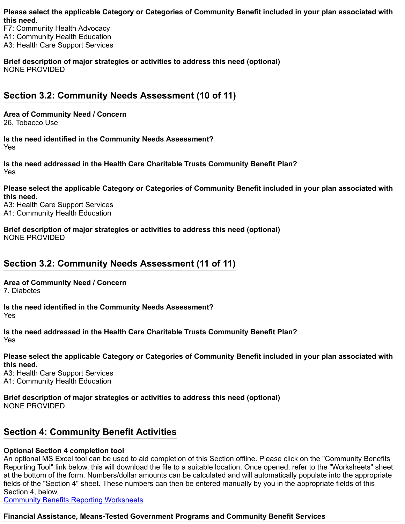**Please select the applicable Category or Categories of Community Benefit included in your plan associated with this need.**

F7: Community Health Advocacy A1: Community Health Education A3: Health Care Support Services

**Brief description of major strategies or activities to address this need (optional)** NONE PROVIDED

## **Section 3.2: Community Needs Assessment (10 of 11)**

**Area of Community Need / Concern**

26. Tobacco Use

Yes **Is the need identified in the Community Needs Assessment?**

Yes **Is the need addressed in the Health Care Charitable Trusts Community Benefit Plan?**

**Please select the applicable Category or Categories of Community Benefit included in your plan associated with this need.**

A3: Health Care Support Services A1: Community Health Education

**Brief description of major strategies or activities to address this need (optional)** NONE PROVIDED

## **Section 3.2: Community Needs Assessment (11 of 11)**

**Area of Community Need / Concern**

7. Diabetes

Yes **Is the need identified in the Community Needs Assessment?**

Yes **Is the need addressed in the Health Care Charitable Trusts Community Benefit Plan?**

**Please select the applicable Category or Categories of Community Benefit included in your plan associated with this need.**

A3: Health Care Support Services A1: Community Health Education

**Brief description of major strategies or activities to address this need (optional)** NONE PROVIDED

### **Section 4: Community Benefit Activities**

### **Optional Section 4 completion tool**

An optional MS Excel tool can be used to aid completion of this Section offline. Please click on the "Community Benefits Reporting Tool" link below, this will download the file to a suitable location. Once opened, refer to the "Worksheets" sheet at the bottom of the form. Numbers/dollar amounts can be calculated and will automatically populate into the appropriate fields of the "Section 4" sheet. These numbers can then be entered manually by you in the appropriate fields of this Section 4, below.

[Community Benefits Reporting Worksheets](https://www.doj.nh.gov/charitable-trusts/documents/community-benefits-reporting-worksheets.xlsx)

### **Financial Assistance, Means-Tested Government Programs and Community Benefit Services**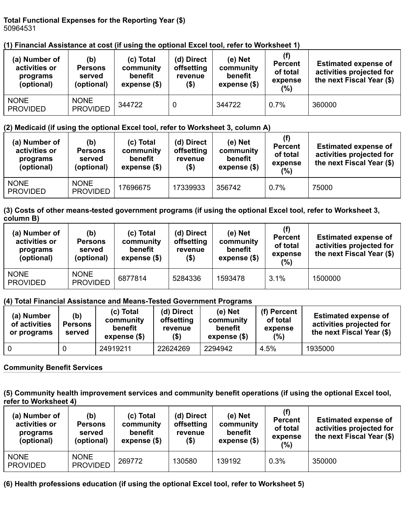#### **Total Functional Expenses for the Reporting Year (\$)** 50964531

### **(1) Financial Assistance at cost (if using the optional Excel tool, refer to Worksheet 1)**

| (a) Number of<br>activities or<br>programs<br>(optional) | (b)<br><b>Persons</b><br>served<br>(optional) | (c) Total<br>community<br>benefit<br>expense (\$) | (d) Direct<br>offsetting<br>revenue<br>(\$) | (e) Net<br>community<br>benefit<br>expense (\$) | (f)<br><b>Percent</b><br>of total<br>expense<br>$(\%)$ | <b>Estimated expense of</b><br>activities projected for<br>the next Fiscal Year (\$) |
|----------------------------------------------------------|-----------------------------------------------|---------------------------------------------------|---------------------------------------------|-------------------------------------------------|--------------------------------------------------------|--------------------------------------------------------------------------------------|
| <b>NONE</b><br><b>PROVIDED</b>                           | <b>NONE</b><br><b>PROVIDED</b>                | 344722                                            | 0                                           | 344722                                          | 0.7%                                                   | 360000                                                                               |

### **(2) Medicaid (if using the optional Excel tool, refer to Worksheet 3, column A)**

| (a) Number of<br>activities or<br>programs<br>(optional) | (b)<br><b>Persons</b><br>served<br>(optional) | (c) Total<br>community<br>benefit<br>expense (\$) | (d) Direct<br>offsetting<br>revenue<br>(\$) | $(e)$ Net<br>community<br>benefit<br>expense $(\$)$ | (f)<br><b>Percent</b><br>of total<br>expense<br>$(\%)$ | <b>Estimated expense of</b><br>activities projected for<br>the next Fiscal Year (\$) |
|----------------------------------------------------------|-----------------------------------------------|---------------------------------------------------|---------------------------------------------|-----------------------------------------------------|--------------------------------------------------------|--------------------------------------------------------------------------------------|
| <b>NONE</b><br><b>PROVIDED</b>                           | <b>NONE</b><br><b>PROVIDED</b>                | 17696675                                          | 17339933                                    | 356742                                              | 0.7%                                                   | 75000                                                                                |

#### **(3) Costs of other means-tested government programs (if using the optional Excel tool, refer to Worksheet 3, column B)**

| (a) Number of<br>activities or<br>programs<br>(optional) | (b)<br><b>Persons</b><br>served<br>(optional) | (c) Total<br>community<br>benefit<br>expense (\$) | (d) Direct<br>offsetting<br>revenue<br>(\$) | $(e)$ Net<br>community<br>benefit<br>expense (\$) | (f)<br><b>Percent</b><br>of total<br>expense<br>(%) | <b>Estimated expense of</b><br>activities projected for<br>the next Fiscal Year (\$) |
|----------------------------------------------------------|-----------------------------------------------|---------------------------------------------------|---------------------------------------------|---------------------------------------------------|-----------------------------------------------------|--------------------------------------------------------------------------------------|
| <b>NONE</b><br><b>PROVIDED</b>                           | <b>NONE</b><br><b>PROVIDED</b>                | 6877814                                           | 5284336                                     | 1593478                                           | 3.1%                                                | 1500000                                                                              |

### **(4) Total Financial Assistance and Means-Tested Government Programs**

| (a) Number<br>of activities<br>or programs | (b)<br><b>Persons</b><br>served | (c) Total<br>community<br>benefit<br>expense (\$) | (d) Direct<br>offsetting<br>revenue<br>$($ \$) | (e) Net<br>community<br>benefit<br>expense (\$) | (f) Percent<br>of total<br>expense<br>(%) | <b>Estimated expense of</b><br>activities projected for<br>the next Fiscal Year (\$) |
|--------------------------------------------|---------------------------------|---------------------------------------------------|------------------------------------------------|-------------------------------------------------|-------------------------------------------|--------------------------------------------------------------------------------------|
| <b>0</b>                                   |                                 | 24919211                                          | 22624269                                       | 2294942                                         | 4.5%                                      | 1935000                                                                              |

### **Community Benefit Services**

**(5) Community health improvement services and community benefit operations (if using the optional Excel tool, refer to Worksheet 4)**

| (a) Number of<br>activities or<br>programs<br>(optional) | (b)<br><b>Persons</b><br>served<br>(optional) | (c) Total<br>community<br>benefit<br>expense $(\$)$ | (d) Direct<br>offsetting<br>revenue<br>(\$) | $(e)$ Net<br>community<br>benefit<br>expense $(\$)$ | (f)<br><b>Percent</b><br>of total<br>expense<br>(%) | <b>Estimated expense of</b><br>activities projected for<br>the next Fiscal Year (\$) |
|----------------------------------------------------------|-----------------------------------------------|-----------------------------------------------------|---------------------------------------------|-----------------------------------------------------|-----------------------------------------------------|--------------------------------------------------------------------------------------|
| <b>NONE</b><br><b>PROVIDED</b>                           | <b>NONE</b><br><b>PROVIDED</b>                | 269772                                              | 130580                                      | 139192                                              | 0.3%                                                | 350000                                                                               |

### **(6) Health professions education (if using the optional Excel tool, refer to Worksheet 5)**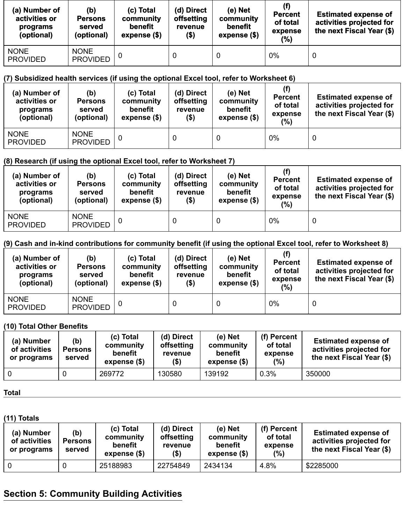| (a) Number of<br>activities or<br>programs<br>(optional) | (b)<br><b>Persons</b><br>served<br>(optional) | (c) Total<br>community<br>benefit<br>expense $($ \$) | (d) Direct<br>offsetting<br>revenue<br>(\$) | (e) Net<br>community<br>benefit<br>expense $($)$ | (f)<br><b>Percent</b><br>of total<br>expense<br>(%) | <b>Estimated expense of</b><br>activities projected for<br>the next Fiscal Year (\$) |
|----------------------------------------------------------|-----------------------------------------------|------------------------------------------------------|---------------------------------------------|--------------------------------------------------|-----------------------------------------------------|--------------------------------------------------------------------------------------|
| <b>NONE</b><br><b>PROVIDED</b>                           | <b>NONE</b><br><b>PROVIDED</b>                |                                                      |                                             | 0                                                | $0\%$                                               | $\mathbf 0$                                                                          |

### **(7) Subsidized health services (if using the optional Excel tool, refer to Worksheet 6)**

| (a) Number of<br>activities or<br>programs<br>(optional) | (b)<br><b>Persons</b><br>served<br>(optional) | (c) Total<br>community<br>benefit<br>expense (\$) | (d) Direct<br>offsetting<br>revenue<br>$($ \$) | $(e)$ Net<br>community<br>benefit<br>expense (\$) | <b>Percent</b><br>of total<br>expense<br>(%) | <b>Estimated expense of</b><br>activities projected for<br>the next Fiscal Year (\$) |
|----------------------------------------------------------|-----------------------------------------------|---------------------------------------------------|------------------------------------------------|---------------------------------------------------|----------------------------------------------|--------------------------------------------------------------------------------------|
| <b>NONE</b><br><b>PROVIDED</b>                           | <b>NONE</b><br><b>PROVIDED</b>                |                                                   |                                                | 0                                                 | 0%                                           | 0                                                                                    |

### **(8) Research (if using the optional Excel tool, refer to Worksheet 7)**

| (a) Number of<br>activities or<br>programs<br>(optional) | (b)<br><b>Persons</b><br>served<br>(optional) | (c) Total<br>community<br>benefit<br>expense (\$) | (d) Direct<br>offsetting<br>revenue<br>(\$) | $(e)$ Net<br>community<br>benefit<br>expense (\$) | (f)<br><b>Percent</b><br>of total<br>expense<br>(%) | <b>Estimated expense of</b><br>activities projected for<br>the next Fiscal Year (\$) |
|----------------------------------------------------------|-----------------------------------------------|---------------------------------------------------|---------------------------------------------|---------------------------------------------------|-----------------------------------------------------|--------------------------------------------------------------------------------------|
| <b>NONE</b><br><b>PROVIDED</b>                           | <b>NONE</b><br><b>PROVIDED</b>                |                                                   |                                             | 0                                                 | $0\%$                                               | 0                                                                                    |

### **(9) Cash and in-kind contributions for community benefit (if using the optional Excel tool, refer to Worksheet 8)**

| (a) Number of<br>activities or<br>programs<br>(optional) | (b)<br><b>Persons</b><br>served<br>(optional) | (c) Total<br>community<br>benefit<br>expense $(\$)$ | (d) Direct<br>offsetting<br>revenue<br>(\$) | (e) Net<br>community<br>benefit<br>expense (\$) | (f)<br><b>Percent</b><br>of total<br>expense<br>(%) | <b>Estimated expense of</b><br>activities projected for<br>the next Fiscal Year (\$) |
|----------------------------------------------------------|-----------------------------------------------|-----------------------------------------------------|---------------------------------------------|-------------------------------------------------|-----------------------------------------------------|--------------------------------------------------------------------------------------|
| <b>NONE</b><br><b>PROVIDED</b>                           | <b>NONE</b><br><b>PROVIDED</b>                |                                                     | 0                                           | 0                                               | 0%                                                  |                                                                                      |

### **(10) Total Other Benefits**

| (a) Number<br>of activities<br>or programs | (b)<br><b>Persons</b><br>served | (c) Total<br>community<br>benefit<br>expense (\$) | (d) Direct<br>offsetting<br>revenue<br>(5) | (e) Net<br>community<br>benefit<br>expense $(\$)$ | (f) Percent<br>of total<br>expense<br>(%) | <b>Estimated expense of</b><br>activities projected for<br>the next Fiscal Year (\$) |
|--------------------------------------------|---------------------------------|---------------------------------------------------|--------------------------------------------|---------------------------------------------------|-------------------------------------------|--------------------------------------------------------------------------------------|
| - 0                                        |                                 | 269772                                            | 130580                                     | 139192                                            | 0.3%                                      | 350000                                                                               |

#### **Total**

#### **(11) Totals**

| (a) Number<br>of activities<br>or programs | (b)<br><b>Persons</b><br>served | (c) Total<br>community<br>benefit<br>expense (\$) | (d) Direct<br>offsetting<br>revenue<br>$($ \$) | (e) Net<br>community<br>benefit<br>expense (\$) | (f) Percent<br>of total<br>expense<br>(%) | <b>Estimated expense of</b><br>activities projected for<br>the next Fiscal Year (\$) |
|--------------------------------------------|---------------------------------|---------------------------------------------------|------------------------------------------------|-------------------------------------------------|-------------------------------------------|--------------------------------------------------------------------------------------|
| 0                                          |                                 | 25188983                                          | 22754849                                       | 2434134                                         | 4.8%                                      | \$2285000                                                                            |

## **Section 5: Community Building Activities**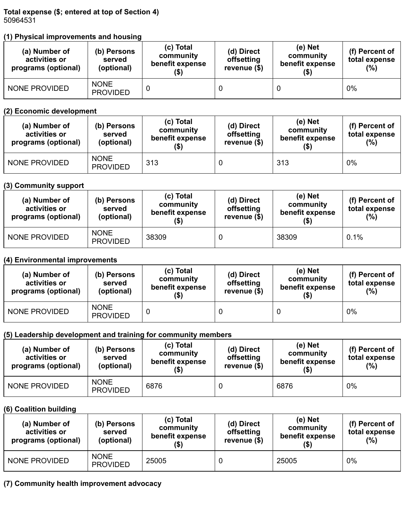**Total expense (\$; entered at top of Section 4)** 50964531

### **(1) Physical improvements and housing**

| (a) Number of<br>activities or<br>programs (optional) | (b) Persons<br>served<br>(optional) | (c) Total<br>community<br>benefit expense<br>$($ \$) | (d) Direct<br>offsetting<br>revenue $(\$)$ | (e) Net<br>community<br>benefit expense<br>(\$) | (f) Percent of<br>total expense<br>$(\%)$ |
|-------------------------------------------------------|-------------------------------------|------------------------------------------------------|--------------------------------------------|-------------------------------------------------|-------------------------------------------|
| <b>NONE PROVIDED</b>                                  | <b>NONE</b><br><b>PROVIDED</b>      |                                                      |                                            |                                                 | $0\%$                                     |

#### **(2) Economic development**

| (a) Number of<br>activities or<br>programs (optional) | (b) Persons<br>served<br>(optional) | (c) Total<br>community<br>benefit expense<br>$($ \$) | (d) Direct<br>offsetting<br>revenue $(\$)$ | (e) Net<br>community<br>benefit expense<br>$($ \$) | (f) Percent of<br>total expense<br>(%) |
|-------------------------------------------------------|-------------------------------------|------------------------------------------------------|--------------------------------------------|----------------------------------------------------|----------------------------------------|
| <b>NONE PROVIDED</b>                                  | <b>NONE</b><br><b>PROVIDED</b>      | 313                                                  |                                            | 313                                                | 0%                                     |

#### **(3) Community support**

| (a) Number of<br>activities or<br>programs (optional) | (b) Persons<br>served<br>(optional) | (c) Total<br>community<br>benefit expense<br>(\$) | (e) Net<br>(d) Direct<br>community<br>offsetting<br>benefit expense<br>revenue $(\$)$<br>(\$) |       | (f) Percent of<br>total expense<br>(%) |
|-------------------------------------------------------|-------------------------------------|---------------------------------------------------|-----------------------------------------------------------------------------------------------|-------|----------------------------------------|
| <b>NONE PROVIDED</b>                                  | <b>NONE</b><br><b>PROVIDED</b>      |                                                   |                                                                                               | 38309 | 0.1%                                   |

### **(4) Environmental improvements**

| (a) Number of<br>activities or<br>programs (optional) | (b) Persons<br>served<br>(optional) | (c) Total<br>community<br>benefit expense<br>$($ \$) | (d) Direct<br>offsetting<br>revenue $(\$)$ | (e) Net<br>community<br>benefit expense<br>(\$) |    |
|-------------------------------------------------------|-------------------------------------|------------------------------------------------------|--------------------------------------------|-------------------------------------------------|----|
| <b>NONE PROVIDED</b>                                  | <b>NONE</b><br><b>PROVIDED</b>      |                                                      |                                            |                                                 | 0% |

#### **(5) Leadership development and training for community members**

| (a) Number of<br>activities or<br>programs (optional) | (b) Persons<br>served<br>(optional) | (c) Total<br>community<br>benefit expense<br>(\$) | (d) Direct<br>offsetting<br>revenue $(\$)$ | (e) Net<br>community<br>benefit expense<br>(\$) | (f) Percent of<br>total expense<br>(%) |
|-------------------------------------------------------|-------------------------------------|---------------------------------------------------|--------------------------------------------|-------------------------------------------------|----------------------------------------|
| <b>NONE PROVIDED</b>                                  | <b>NONE</b><br><b>PROVIDED</b>      | 6876                                              |                                            | 6876                                            | 0%                                     |

#### **(6) Coalition building**

| (a) Number of<br>activities or<br>programs (optional) | (b) Persons<br>served<br>(optional) | (c) Total<br>community<br>benefit expense<br>(\$) | (d) Direct<br>offsetting<br>revenue $(\$)$ | $(e)$ Net<br>community<br>benefit expense |    |
|-------------------------------------------------------|-------------------------------------|---------------------------------------------------|--------------------------------------------|-------------------------------------------|----|
| <b>NONE PROVIDED</b>                                  | <b>NONE</b><br><b>PROVIDED</b>      | 25005                                             |                                            | 25005                                     | 0% |

### **(7) Community health improvement advocacy**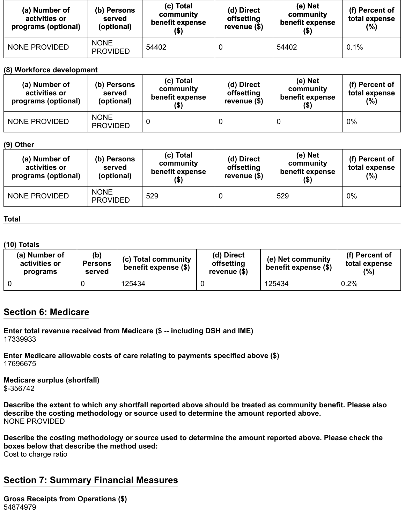| (a) Number of<br>activities or<br>programs (optional) | (b) Persons<br>served<br>(optional) | (c) Total<br>community<br>benefit expense<br>(\$) | (d) Direct<br>offsetting<br>revenue $(\$)$ | (e) Net<br>community<br>benefit expense | (f) Percent of<br>total expense<br>(%) |
|-------------------------------------------------------|-------------------------------------|---------------------------------------------------|--------------------------------------------|-----------------------------------------|----------------------------------------|
| <b>NONE PROVIDED</b>                                  | <b>NONE</b><br><b>PROVIDED</b>      | 54402                                             |                                            | 54402                                   | 0.1%                                   |

#### **(8) Workforce development**

| (a) Number of<br>activities or<br>programs (optional) | (b) Persons<br>served<br>(optional) | (c) Total<br>community<br>benefit expense<br>(\$) | (e) Net<br>(d) Direct<br>community<br>offsetting<br>benefit expense<br>revenue $(\$)$ |  | (f) Percent of<br>total expense<br>$(\%)$ |
|-------------------------------------------------------|-------------------------------------|---------------------------------------------------|---------------------------------------------------------------------------------------|--|-------------------------------------------|
| <b>NONE PROVIDED</b>                                  | <b>NONE</b><br><b>PROVIDED</b>      |                                                   |                                                                                       |  | $0\%$                                     |

#### **(9) Other**

| (a) Number of<br>activities or<br>programs (optional) | (b) Persons<br>served<br>(optional) | (c) Total<br>community<br>benefit expense<br>(\$) | (d) Direct<br>offsetting<br>revenue $(\$)$ | (e) Net<br>community<br>benefit expense<br>(\$) | (f) Percent of<br>total expense<br>(%) |
|-------------------------------------------------------|-------------------------------------|---------------------------------------------------|--------------------------------------------|-------------------------------------------------|----------------------------------------|
| <b>NONE PROVIDED</b>                                  | <b>NONE</b><br><b>PROVIDED</b>      | 529                                               |                                            | 529                                             | $0\%$                                  |

#### **Total**

#### **(10) Totals**

| (a) Number of<br>activities or<br>programs | (b)<br><b>Persons</b><br>served | (c) Total community<br>benefit expense (\$) | (d) Direct<br>offsetting<br>revenue (\$) | (e) Net community<br>benefit expense (\$) | (f) Percent of<br>total expense<br>(%) |
|--------------------------------------------|---------------------------------|---------------------------------------------|------------------------------------------|-------------------------------------------|----------------------------------------|
|                                            |                                 | 125434                                      |                                          | 125434                                    | 0.2%                                   |

### **Section 6: Medicare**

**Enter total revenue received from Medicare (\$ -- including DSH and IME)** 17339933

**Enter Medicare allowable costs of care relating to payments specified above (\$)** 17696675

**Medicare surplus (shortfall)** \$-356742

**Describe the extent to which any shortfall reported above should be treated as community benefit. Please also describe the costing methodology or source used to determine the amount reported above.** NONE PROVIDED

Cost to charge ratio **Describe the costing methodology or source used to determine the amount reported above. Please check the boxes below that describe the method used:**

## **Section 7: Summary Financial Measures**

**Gross Receipts from Operations (\$)** 54874979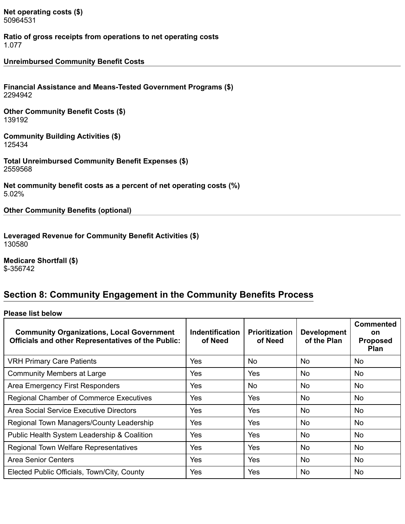**Net operating costs (\$)** 50964531

**Ratio of gross receipts from operations to net operating costs** 1.077

**Unreimbursed Community Benefit Costs**

**Financial Assistance and Means-Tested Government Programs (\$)** 2294942

**Other Community Benefit Costs (\$)** 139192

**Community Building Activities (\$)** 125434

**Total Unreimbursed Community Benefit Expenses (\$)** 2559568

**Net community benefit costs as a percent of net operating costs (%)** 5.02%

**Other Community Benefits (optional)**

**Leveraged Revenue for Community Benefit Activities (\$)** 130580

**Medicare Shortfall (\$)** \$-356742

### **Section 8: Community Engagement in the Community Benefits Process**

**Please list below**

| <b>Community Organizations, Local Government</b><br><b>Officials and other Representatives of the Public:</b> | Indentification<br>of Need | <b>Prioritization</b><br>of Need | <b>Development</b><br>of the Plan | <b>Commented</b><br><b>on</b><br><b>Proposed</b><br><b>Plan</b> |
|---------------------------------------------------------------------------------------------------------------|----------------------------|----------------------------------|-----------------------------------|-----------------------------------------------------------------|
| <b>VRH Primary Care Patients</b>                                                                              | Yes                        | <b>No</b>                        | No                                | No.                                                             |
| <b>Community Members at Large</b>                                                                             | Yes                        | Yes                              | <b>No</b>                         | No.                                                             |
| Area Emergency First Responders                                                                               | Yes                        | <b>No</b>                        | <b>No</b>                         | <b>No</b>                                                       |
| <b>Regional Chamber of Commerce Executives</b>                                                                | Yes                        | Yes                              | <b>No</b>                         | No.                                                             |
| Area Social Service Executive Directors                                                                       | Yes                        | Yes                              | No                                | <b>No</b>                                                       |
| Regional Town Managers/County Leadership                                                                      | Yes                        | Yes                              | <b>No</b>                         | <b>No</b>                                                       |
| Public Health System Leadership & Coalition                                                                   | Yes                        | Yes                              | <b>No</b>                         | <b>No</b>                                                       |
| Regional Town Welfare Representatives                                                                         | Yes                        | Yes                              | <b>No</b>                         | <b>No</b>                                                       |
| <b>Area Senior Centers</b>                                                                                    | Yes                        | <b>Yes</b>                       | <b>No</b>                         | <b>No</b>                                                       |
| Elected Public Officials, Town/City, County                                                                   | <b>Yes</b>                 | Yes                              | <b>No</b>                         | <b>No</b>                                                       |